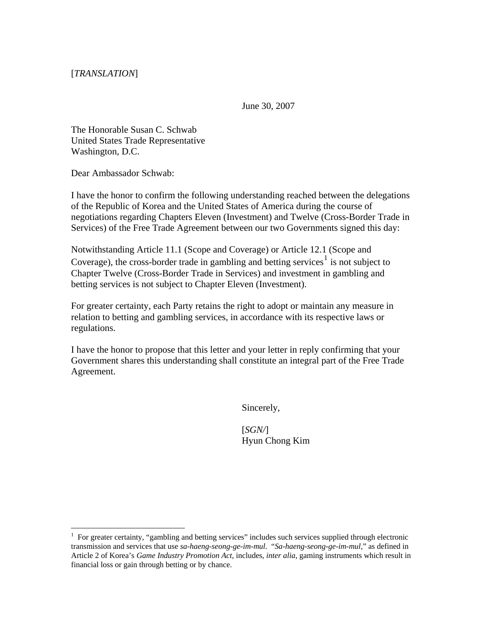[*TRANSLATION*]

June 30, 2007

The Honorable Susan C. Schwab United States Trade Representative Washington, D.C.

Dear Ambassador Schwab:

 $\overline{a}$ 

I have the honor to confirm the following understanding reached between the delegations of the Republic of Korea and the United States of America during the course of negotiations regarding Chapters Eleven (Investment) and Twelve (Cross-Border Trade in Services) of the Free Trade Agreement between our two Governments signed this day:

Notwithstanding Article 11.1 (Scope and Coverage) or Article 12.1 (Scope and Coverage), the cross-border trade in gambling and betting services<sup>[1](#page-0-0)</sup> is not subject to Chapter Twelve (Cross-Border Trade in Services) and investment in gambling and betting services is not subject to Chapter Eleven (Investment).

For greater certainty, each Party retains the right to adopt or maintain any measure in relation to betting and gambling services, in accordance with its respective laws or regulations.

I have the honor to propose that this letter and your letter in reply confirming that your Government shares this understanding shall constitute an integral part of the Free Trade Agreement.

Sincerely,

[*SGN/*] Hyun Chong Kim

<span id="page-0-0"></span><sup>&</sup>lt;sup>1</sup> For greater certainty, "gambling and betting services" includes such services supplied through electronic transmission and services that use *sa-haeng-seong-ge-im-mul*. "*Sa-haeng-seong-ge-im-mul*," as defined in Article 2 of Korea's *Game Industry Promotion Act*, includes, *inter alia*, gaming instruments which result in financial loss or gain through betting or by chance.